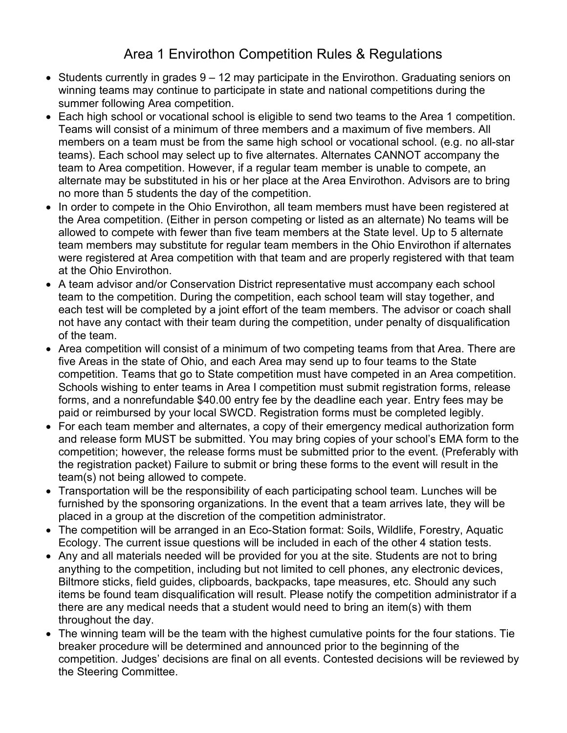## Area 1 Envirothon Competition Rules & Regulations

- $\bullet$  Students currently in grades  $9 12$  may participate in the Envirothon. Graduating seniors on winning teams may continue to participate in state and national competitions during the summer following Area competition.
- Each high school or vocational school is eligible to send two teams to the Area 1 competition. Teams will consist of a minimum of three members and a maximum of five members. All members on a team must be from the same high school or vocational school. (e.g. no all-star teams). Each school may select up to five alternates. Alternates CANNOT accompany the team to Area competition. However, if a regular team member is unable to compete, an alternate may be substituted in his or her place at the Area Envirothon. Advisors are to bring no more than 5 students the day of the competition.
- In order to compete in the Ohio Envirothon, all team members must have been registered at the Area competition. (Either in person competing or listed as an alternate) No teams will be allowed to compete with fewer than five team members at the State level. Up to 5 alternate team members may substitute for regular team members in the Ohio Envirothon if alternates were registered at Area competition with that team and are properly registered with that team at the Ohio Envirothon.
- A team advisor and/or Conservation District representative must accompany each school team to the competition. During the competition, each school team will stay together, and each test will be completed by a joint effort of the team members. The advisor or coach shall not have any contact with their team during the competition, under penalty of disqualification of the team.
- Area competition will consist of a minimum of two competing teams from that Area. There are five Areas in the state of Ohio, and each Area may send up to four teams to the State competition. Teams that go to State competition must have competed in an Area competition. Schools wishing to enter teams in Area I competition must submit registration forms, release forms, and a nonrefundable \$40.00 entry fee by the deadline each year. Entry fees may be paid or reimbursed by your local SWCD. Registration forms must be completed legibly.
- For each team member and alternates, a copy of their emergency medical authorization form and release form MUST be submitted. You may bring copies of your school's EMA form to the competition; however, the release forms must be submitted prior to the event. (Preferably with the registration packet) Failure to submit or bring these forms to the event will result in the team(s) not being allowed to compete.
- Transportation will be the responsibility of each participating school team. Lunches will be furnished by the sponsoring organizations. In the event that a team arrives late, they will be placed in a group at the discretion of the competition administrator.
- The competition will be arranged in an Eco-Station format: Soils, Wildlife, Forestry, Aquatic Ecology. The current issue questions will be included in each of the other 4 station tests.
- Any and all materials needed will be provided for you at the site. Students are not to bring anything to the competition, including but not limited to cell phones, any electronic devices, Biltmore sticks, field guides, clipboards, backpacks, tape measures, etc. Should any such items be found team disqualification will result. Please notify the competition administrator if a there are any medical needs that a student would need to bring an item(s) with them throughout the day.
- The winning team will be the team with the highest cumulative points for the four stations. Tie breaker procedure will be determined and announced prior to the beginning of the competition. Judges' decisions are final on all events. Contested decisions will be reviewed by the Steering Committee.